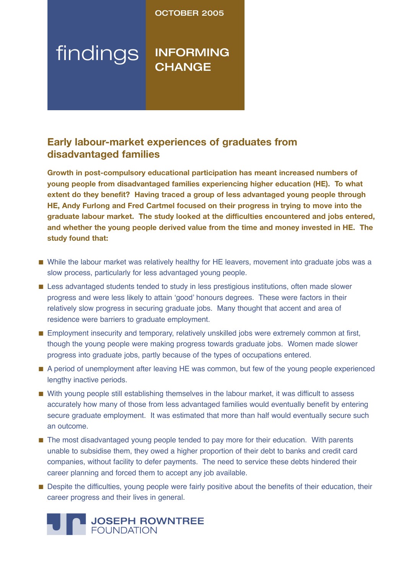# OCTOBER 2005

# findings **INFORMING CHANGE**

# **Early labour-market experiences of graduates from disadvantaged families**

**Growth in post-compulsory educational participation has meant increased numbers of young people from disadvantaged families experiencing higher education (HE). To what extent do they benefit? Having traced a group of less advantaged young people through HE, Andy Furlong and Fred Cartmel focused on their progress in trying to move into the graduate labour market. The study looked at the difficulties encountered and jobs entered, and whether the young people derived value from the time and money invested in HE. The study found that:**

- While the labour market was relatively healthy for HE leavers, movement into graduate jobs was a slow process, particularly for less advantaged young people.
- Less advantaged students tended to study in less prestigious institutions, often made slower progress and were less likely to attain ʻgood' honours degrees. These were factors in their relatively slow progress in securing graduate jobs. Many thought that accent and area of residence were barriers to graduate employment.
- Employment insecurity and temporary, relatively unskilled jobs were extremely common at first, though the young people were making progress towards graduate jobs. Women made slower progress into graduate jobs, partly because of the types of occupations entered.
- A period of unemployment after leaving HE was common, but few of the young people experienced lengthy inactive periods.
- With young people still establishing themselves in the labour market, it was difficult to assess accurately how many of those from less advantaged families would eventually benefit by entering secure graduate employment. It was estimated that more than half would eventually secure such an outcome.
- The most disadvantaged young people tended to pay more for their education. With parents unable to subsidise them, they owed a higher proportion of their debt to banks and credit card companies, without facility to defer payments. The need to service these debts hindered their career planning and forced them to accept any job available.
- Despite the difficulties, young people were fairly positive about the benefits of their education, their career progress and their lives in general.

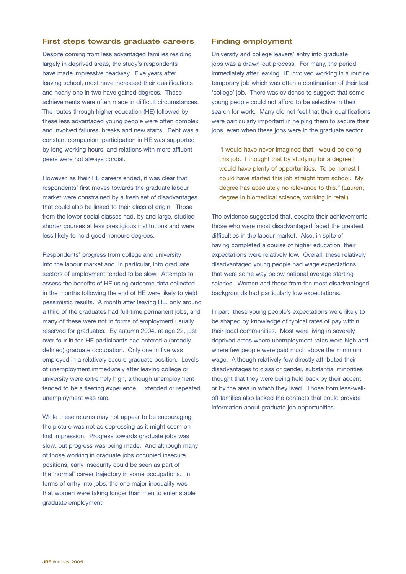### First steps towards graduate careers

Despite coming from less advantaged families residing largely in deprived areas, the study's respondents have made impressive headway. Five years after leaving school, most have increased their qualifications and nearly one in two have gained degrees. These achievements were often made in difficult circumstances. The routes through higher education (HE) followed by these less advantaged young people were often complex and involved failures, breaks and new starts. Debt was a constant companion, participation in HE was supported by long working hours, and relations with more affluent peers were not always cordial.

However, as their HE careers ended, it was clear that respondents' first moves towards the graduate labour market were constrained by a fresh set of disadvantages that could also be linked to their class of origin. Those from the lower social classes had, by and large, studied shorter courses at less prestigious institutions and were less likely to hold good honours degrees.

Respondents' progress from college and university into the labour market and, in particular, into graduate sectors of employment tended to be slow. Attempts to assess the benefits of HE using outcome data collected in the months following the end of HE were likely to yield pessimistic results. A month after leaving HE, only around a third of the graduates had full-time permanent jobs, and many of these were not in forms of employment usually reserved for graduates. By autumn 2004, at age 22, just over four in ten HE participants had entered a (broadly defined) graduate occupation. Only one in five was employed in a relatively secure graduate position. Levels of unemployment immediately after leaving college or university were extremely high, although unemployment tended to be a fleeting experience. Extended or repeated unemployment was rare.

While these returns may not appear to be encouraging, the picture was not as depressing as it might seem on first impression. Progress towards graduate jobs was slow, but progress was being made. And although many of those working in graduate jobs occupied insecure positions, early insecurity could be seen as part of the 'normal' career trajectory in some occupations. In terms of entry into jobs, the one major inequality was that women were taking longer than men to enter stable graduate employment.

#### Finding employment

University and college leavers' entry into graduate jobs was a drawn-out process. For many, the period immediately after leaving HE involved working in a routine, temporary job which was often a continuation of their last 'college' job. There was evidence to suggest that some young people could not afford to be selective in their search for work. Many did not feel that their qualifications were particularly important in helping them to secure their jobs, even when these jobs were in the graduate sector.

"I would have never imagined that I would be doing this job. I thought that by studying for a degree I would have plenty of opportunities. To be honest I could have started this job straight from school. My degree has absolutely no relevance to this." (Lauren, degree in biomedical science, working in retail)

The evidence suggested that, despite their achievements, those who were most disadvantaged faced the greatest difficulties in the labour market. Also, in spite of having completed a course of higher education, their expectations were relatively low. Overall, these relatively disadvantaged young people had wage expectations that were some way below national average starting salaries. Women and those from the most disadvantaged backgrounds had particularly low expectations.

In part, these young people's expectations were likely to be shaped by knowledge of typical rates of pay within their local communities. Most were living in severely deprived areas where unemployment rates were high and where few people were paid much above the minimum wage. Although relatively few directly attributed their disadvantages to class or gender, substantial minorities thought that they were being held back by their accent or by the area in which they lived. Those from less-welloff families also lacked the contacts that could provide information about graduate job opportunities.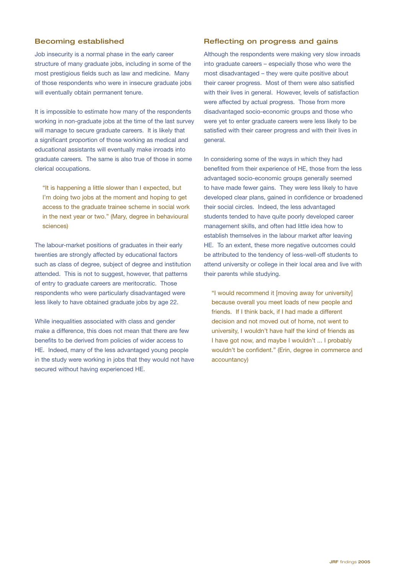# Becoming established

Job insecurity is a normal phase in the early career structure of many graduate jobs, including in some of the most prestigious fields such as law and medicine. Many of those respondents who were in insecure graduate jobs will eventually obtain permanent tenure.

It is impossible to estimate how many of the respondents working in non-graduate jobs at the time of the last survey will manage to secure graduate careers. It is likely that a significant proportion of those working as medical and educational assistants will eventually make inroads into graduate careers. The same is also true of those in some clerical occupations.

"It is happening a little slower than I expected, but I'm doing two jobs at the moment and hoping to get access to the graduate trainee scheme in social work in the next year or two." (Mary, degree in behavioural sciences)

The labour-market positions of graduates in their early twenties are strongly affected by educational factors such as class of degree, subject of degree and institution attended. This is not to suggest, however, that patterns of entry to graduate careers are meritocratic. Those respondents who were particularly disadvantaged were less likely to have obtained graduate jobs by age 22.

While inequalities associated with class and gender make a difference, this does not mean that there are few benefits to be derived from policies of wider access to HE. Indeed, many of the less advantaged young people in the study were working in jobs that they would not have secured without having experienced HE.

#### Reflecting on progress and gains

Although the respondents were making very slow inroads into graduate careers – especially those who were the most disadvantaged – they were quite positive about their career progress. Most of them were also satisfied with their lives in general. However, levels of satisfaction were affected by actual progress. Those from more disadvantaged socio-economic groups and those who were yet to enter graduate careers were less likely to be satisfied with their career progress and with their lives in general.

In considering some of the ways in which they had benefited from their experience of HE, those from the less advantaged socio-economic groups generally seemed to have made fewer gains. They were less likely to have developed clear plans, gained in confidence or broadened their social circles. Indeed, the less advantaged students tended to have quite poorly developed career management skills, and often had little idea how to establish themselves in the labour market after leaving HE. To an extent, these more negative outcomes could be attributed to the tendency of less-well-off students to attend university or college in their local area and live with their parents while studying.

"I would recommend it [moving away for university] because overall you meet loads of new people and friends. If I think back, if I had made a different decision and not moved out of home, not went to university, I wouldn't have half the kind of friends as I have got now, and maybe I wouldn't ... I probably wouldn't be confident." (Erin, degree in commerce and accountancy)